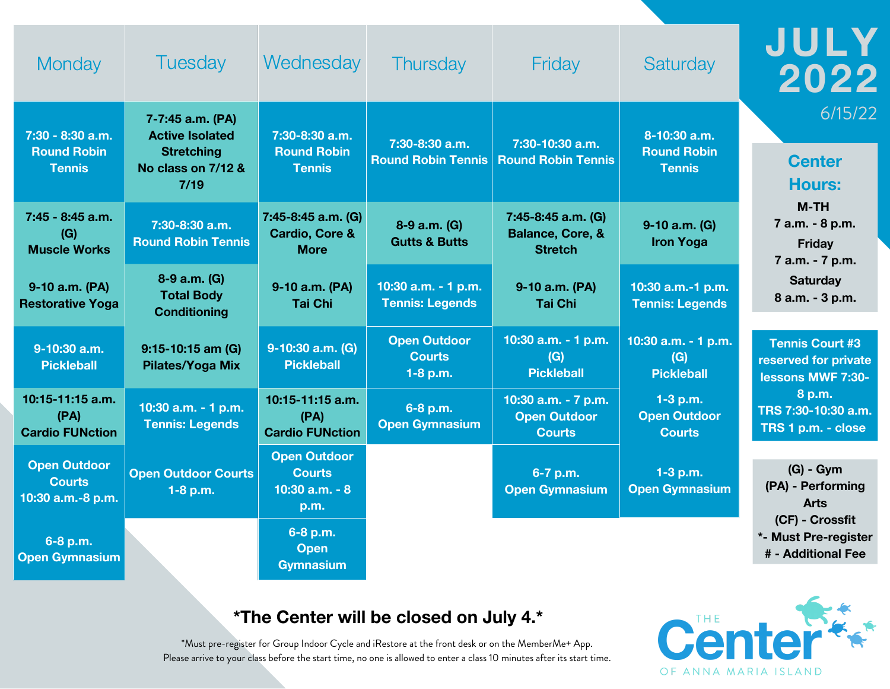| Monday                                                    | <b>Tuesday</b>                                                                                | Wednesday                                                        | <b>Thursday</b>                                    | Friday                                                              | Saturday                                            | JULY<br>2022                                                        |
|-----------------------------------------------------------|-----------------------------------------------------------------------------------------------|------------------------------------------------------------------|----------------------------------------------------|---------------------------------------------------------------------|-----------------------------------------------------|---------------------------------------------------------------------|
| 7:30 - 8:30 a.m.<br><b>Round Robin</b><br><b>Tennis</b>   | 7-7:45 a.m. (PA)<br><b>Active Isolated</b><br><b>Stretching</b><br>No class on 7/12 &<br>7/19 | 7:30-8:30 a.m.<br><b>Round Robin</b><br><b>Tennis</b>            | 7:30-8:30 a.m.<br><b>Round Robin Tennis</b>        | 7:30-10:30 a.m.<br><b>Round Robin Tennis</b>                        | 8-10:30 a.m.<br><b>Round Robin</b><br><b>Tennis</b> | 6/15/22<br><b>Center</b><br><b>Hours:</b>                           |
| 7:45 - 8:45 a.m.<br>(G)<br><b>Muscle Works</b>            | 7:30-8:30 a.m.<br><b>Round Robin Tennis</b>                                                   | 7:45-8:45 a.m. (G)<br><b>Cardio, Core &amp;</b><br><b>More</b>   | 8-9 a.m. (G)<br><b>Gutts &amp; Butts</b>           | 7:45-8:45 a.m. (G)<br><b>Balance, Core, &amp;</b><br><b>Stretch</b> | 9-10 a.m. (G)<br><b>Iron Yoga</b>                   | $M-TH$<br>7 a.m. - 8 p.m.<br><b>Friday</b><br>7 a.m. - 7 p.m.       |
| 9-10 a.m. (PA)<br><b>Restorative Yoga</b>                 | 8-9 a.m. (G)<br><b>Total Body</b><br><b>Conditioning</b>                                      | 9-10 a.m. (PA)<br><b>Tai Chi</b>                                 | 10:30 a.m. - 1 p.m.<br><b>Tennis: Legends</b>      | 9-10 a.m. (PA)<br><b>Tai Chi</b>                                    | 10:30 a.m.-1 p.m.<br><b>Tennis: Legends</b>         | <b>Saturday</b><br>8 a.m. - 3 p.m.                                  |
| 9-10:30 a.m.<br><b>Pickleball</b>                         | 9:15-10:15 am (G)<br><b>Pilates/Yoga Mix</b>                                                  | 9-10:30 a.m. (G)<br><b>Pickleball</b>                            | <b>Open Outdoor</b><br><b>Courts</b><br>$1-8$ p.m. | 10:30 a.m. - 1 p.m.<br>(G)<br><b>Pickleball</b>                     | 10:30 a.m. - 1 p.m.<br>(G)<br><b>Pickleball</b>     | <b>Tennis Court #3</b><br>reserved for private<br>lessons MWF 7:30- |
| 10:15-11:15 a.m.<br>(PA)<br><b>Cardio FUNction</b>        | 10:30 a.m. - 1 p.m.<br><b>Tennis: Legends</b>                                                 | 10:15-11:15 a.m.<br>(PA)<br><b>Cardio FUNction</b>               | 6-8 p.m.<br><b>Open Gymnasium</b>                  | 10:30 a.m. - 7 p.m.<br><b>Open Outdoor</b><br><b>Courts</b>         | $1-3$ p.m.<br><b>Open Outdoor</b><br><b>Courts</b>  | 8 p.m.<br>TRS 7:30-10:30 a.m.<br>TRS 1 p.m. - close                 |
| <b>Open Outdoor</b><br><b>Courts</b><br>10:30 a.m.-8 p.m. | <b>Open Outdoor Courts</b><br>$1-8$ p.m.                                                      | <b>Open Outdoor</b><br><b>Courts</b><br>10:30 $a.m. - 8$<br>p.m. |                                                    | 6-7 p.m.<br><b>Open Gymnasium</b>                                   | $1-3$ p.m.<br><b>Open Gymnasium</b>                 | $(G) - Gym$<br>(PA) - Performing<br><b>Arts</b>                     |
| 6-8 p.m.<br><b>Open Gymnasium</b>                         |                                                                                               | 6-8 p.m.<br><b>Open</b><br><b>Gymnasium</b>                      |                                                    |                                                                     |                                                     | (CF) - Crossfit<br>*- Must Pre-register<br># - Additional Fee       |

## **\*The Center will be closed on July 4.\***

\*Must pre-register for Group Indoor Cycle and iRestore at the front desk or on the MemberMe+ App. Please arrive to your class before the start time, no one is allowed to enter a class 10 minutes after its start time.